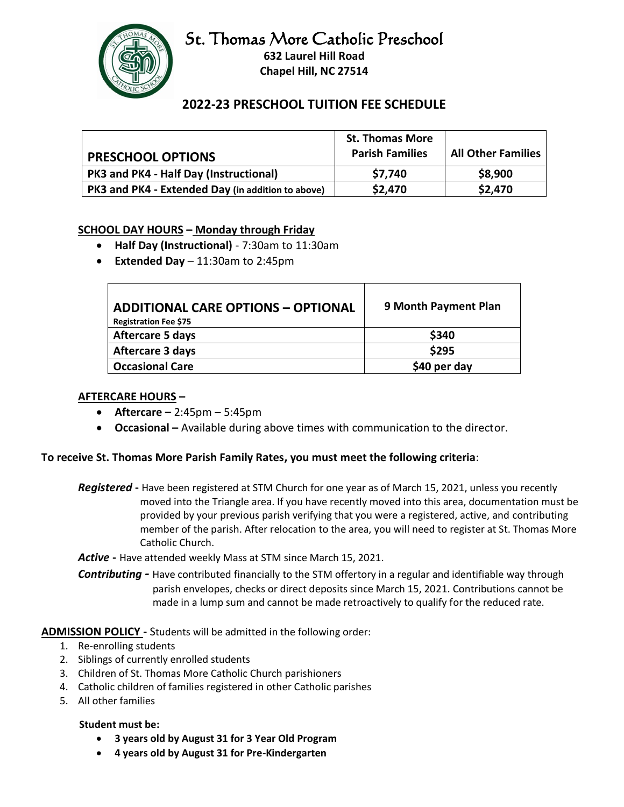# St. Thomas More Catholic Preschool



**632 Laurel Hill Road Chapel Hill, NC 27514**

# **2022-23 PRESCHOOL TUITION FEE SCHEDULE**

| <b>PRESCHOOL OPTIONS</b>                          | <b>St. Thomas More</b><br><b>Parish Families</b> | <b>All Other Families</b> |
|---------------------------------------------------|--------------------------------------------------|---------------------------|
| PK3 and PK4 - Half Day (Instructional)            | \$7,740                                          | \$8,900                   |
| PK3 and PK4 - Extended Day (in addition to above) | \$2,470                                          | \$2,470                   |

# **SCHOOL DAY HOURS – Monday through Friday**

- **Half Day (Instructional)** 7:30am to 11:30am
- **Extended Day** 11:30am to 2:45pm

| <b>ADDITIONAL CARE OPTIONS - OPTIONAL</b><br><b>Registration Fee \$75</b> | 9 Month Payment Plan |
|---------------------------------------------------------------------------|----------------------|
| <b>Aftercare 5 days</b>                                                   | \$340                |
| Aftercare 3 days                                                          | \$295                |
| <b>Occasional Care</b>                                                    | \$40 per day         |

#### **AFTERCARE HOURS –**

- **Aftercare –** 2:45pm 5:45pm
- **Occasional –** Available during above times with communication to the director.

#### **To receive St. Thomas More Parish Family Rates, you must meet the following criteria**:

*Registered* **-** Have been registered at STM Church for one year as of March 15, 2021, unless you recently moved into the Triangle area. If you have recently moved into this area, documentation must be provided by your previous parish verifying that you were a registered, active, and contributing member of the parish. After relocation to the area, you will need to register at St. Thomas More Catholic Church.

*Active* **-** Have attended weekly Mass at STM since March 15, 2021.

*Contributing -* Have contributed financially to the STM offertory in a regular and identifiable way through parish envelopes, checks or direct deposits since March 15, 2021. Contributions cannot be made in a lump sum and cannot be made retroactively to qualify for the reduced rate.

**ADMISSION POLICY -** Students will be admitted in the following order:

- 1. Re-enrolling students
- 2. Siblings of currently enrolled students
- 3. Children of St. Thomas More Catholic Church parishioners
- 4. Catholic children of families registered in other Catholic parishes
- 5. All other families

#### **Student must be:**

- **3 years old by August 31 for 3 Year Old Program**
- **4 years old by August 31 for Pre-Kindergarten**